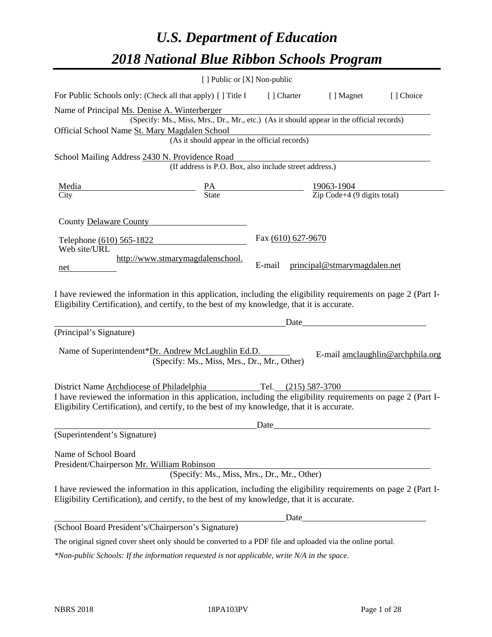# *U.S. Department of Education 2018 National Blue Ribbon Schools Program*

|                                                                                                                                                                                                                                                                                           | [] Public or [X] Non-public                                                                                                                                  |                              |                              |                                  |
|-------------------------------------------------------------------------------------------------------------------------------------------------------------------------------------------------------------------------------------------------------------------------------------------|--------------------------------------------------------------------------------------------------------------------------------------------------------------|------------------------------|------------------------------|----------------------------------|
| For Public Schools only: (Check all that apply) [] Title I [] Charter [] Magnet                                                                                                                                                                                                           |                                                                                                                                                              |                              |                              | [ ] Choice                       |
| Name of Principal Ms. Denise A. Winterberger<br>Official School Name St. Mary Magdalen School                                                                                                                                                                                             | (Specify: Ms., Miss, Mrs., Dr., Mr., etc.) (As it should appear in the official records)<br>Magdalen School<br>(As it should appear in the official records) |                              |                              |                                  |
| School Mailing Address 2430 N. Providence Road                                                                                                                                                                                                                                            | (If address is P.O. Box, also include street address.)                                                                                                       |                              |                              |                                  |
| Media<br>City Batte March 219063-1904<br>City State Digits total)                                                                                                                                                                                                                         |                                                                                                                                                              |                              |                              |                                  |
| County Delaware County<br>Telephone (610) 565-1822<br>Web site/URL<br>net<br>I have reviewed the information in this application, including the eligibility requirements on page 2 (Part I-<br>Eligibility Certification), and certify, to the best of my knowledge, that it is accurate. | http://www.stmarymagdalenschool.                                                                                                                             | Fax (610) 627-9670<br>E-mail | principal@stmarymagdalen.net |                                  |
|                                                                                                                                                                                                                                                                                           |                                                                                                                                                              |                              | Date                         |                                  |
| (Principal's Signature)<br>Name of Superintendent*Dr. Andrew McLaughlin Ed.D.                                                                                                                                                                                                             | (Specify: Ms., Miss, Mrs., Dr., Mr., Other)                                                                                                                  |                              |                              | E-mail amclaughlin@archphila.org |
| District Name Archdiocese of Philadelphia Tel. (215) 587-3700<br>I have reviewed the information in this application, including the eligibility requirements on page 2 (Part I-<br>Eligibility Certification), and certify, to the best of my knowledge, that it is accurate.             |                                                                                                                                                              |                              |                              |                                  |
| (Superintendent's Signature)                                                                                                                                                                                                                                                              |                                                                                                                                                              | Date                         |                              |                                  |
| Name of School Board<br>President/Chairperson Mr. William Robinson<br>I have reviewed the information in this application, including the eligibility requirements on page 2 (Part I-                                                                                                      | (Specify: Ms., Miss, Mrs., Dr., Mr., Other)                                                                                                                  |                              |                              |                                  |
| Eligibility Certification), and certify, to the best of my knowledge, that it is accurate.                                                                                                                                                                                                |                                                                                                                                                              | Date                         |                              |                                  |
| (School Board President's/Chairperson's Signature)                                                                                                                                                                                                                                        |                                                                                                                                                              |                              |                              |                                  |
| The original signed cover sheet only should be converted to a PDF file and uploaded via the online portal.                                                                                                                                                                                |                                                                                                                                                              |                              |                              |                                  |

*\*Non-public Schools: If the information requested is not applicable, write N/A in the space.*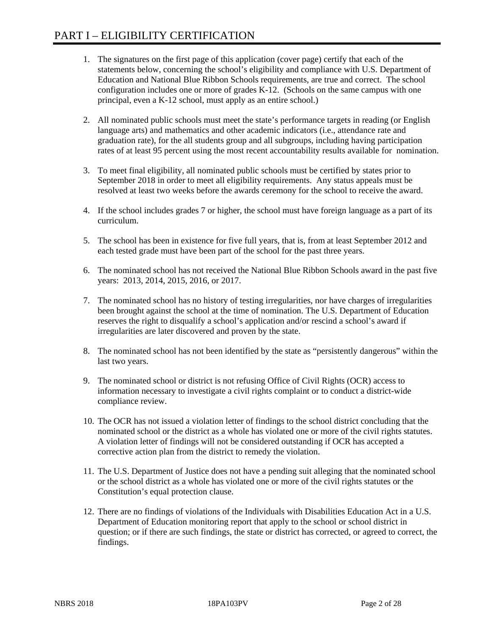- 1. The signatures on the first page of this application (cover page) certify that each of the statements below, concerning the school's eligibility and compliance with U.S. Department of Education and National Blue Ribbon Schools requirements, are true and correct. The school configuration includes one or more of grades K-12. (Schools on the same campus with one principal, even a K-12 school, must apply as an entire school.)
- 2. All nominated public schools must meet the state's performance targets in reading (or English language arts) and mathematics and other academic indicators (i.e., attendance rate and graduation rate), for the all students group and all subgroups, including having participation rates of at least 95 percent using the most recent accountability results available for nomination.
- 3. To meet final eligibility, all nominated public schools must be certified by states prior to September 2018 in order to meet all eligibility requirements. Any status appeals must be resolved at least two weeks before the awards ceremony for the school to receive the award.
- 4. If the school includes grades 7 or higher, the school must have foreign language as a part of its curriculum.
- 5. The school has been in existence for five full years, that is, from at least September 2012 and each tested grade must have been part of the school for the past three years.
- 6. The nominated school has not received the National Blue Ribbon Schools award in the past five years: 2013, 2014, 2015, 2016, or 2017.
- 7. The nominated school has no history of testing irregularities, nor have charges of irregularities been brought against the school at the time of nomination. The U.S. Department of Education reserves the right to disqualify a school's application and/or rescind a school's award if irregularities are later discovered and proven by the state.
- 8. The nominated school has not been identified by the state as "persistently dangerous" within the last two years.
- 9. The nominated school or district is not refusing Office of Civil Rights (OCR) access to information necessary to investigate a civil rights complaint or to conduct a district-wide compliance review.
- 10. The OCR has not issued a violation letter of findings to the school district concluding that the nominated school or the district as a whole has violated one or more of the civil rights statutes. A violation letter of findings will not be considered outstanding if OCR has accepted a corrective action plan from the district to remedy the violation.
- 11. The U.S. Department of Justice does not have a pending suit alleging that the nominated school or the school district as a whole has violated one or more of the civil rights statutes or the Constitution's equal protection clause.
- 12. There are no findings of violations of the Individuals with Disabilities Education Act in a U.S. Department of Education monitoring report that apply to the school or school district in question; or if there are such findings, the state or district has corrected, or agreed to correct, the findings.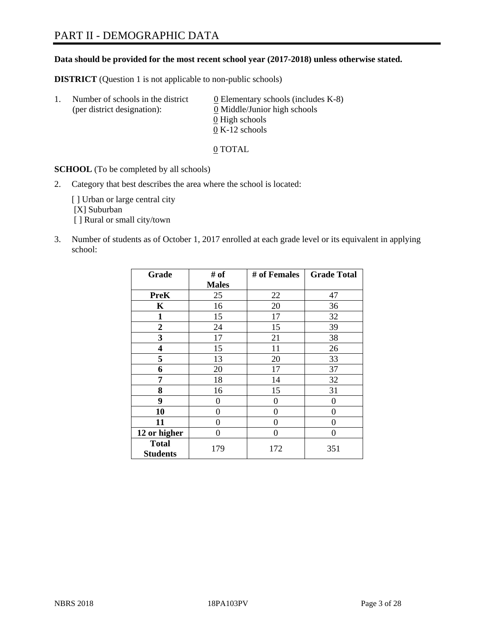# PART II - DEMOGRAPHIC DATA

### **Data should be provided for the most recent school year (2017-2018) unless otherwise stated.**

**DISTRICT** (Question 1 is not applicable to non-public schools)

| Τ. | Number of schools in the district<br>(per district designation): | 0 Elementary schools (includes K-8)<br>0 Middle/Junior high schools |
|----|------------------------------------------------------------------|---------------------------------------------------------------------|
|    |                                                                  | 0 High schools                                                      |
|    |                                                                  | $0 K-12$ schools                                                    |

0 TOTAL

**SCHOOL** (To be completed by all schools)

2. Category that best describes the area where the school is located:

[] Urban or large central city [X] Suburban [] Rural or small city/town

3. Number of students as of October 1, 2017 enrolled at each grade level or its equivalent in applying school:

| Grade                           | # of         | # of Females | <b>Grade Total</b> |
|---------------------------------|--------------|--------------|--------------------|
|                                 | <b>Males</b> |              |                    |
| <b>PreK</b>                     | 25           | 22           | 47                 |
| $\mathbf K$                     | 16           | 20           | 36                 |
| $\mathbf{1}$                    | 15           | 17           | 32                 |
| 2                               | 24           | 15           | 39                 |
| 3                               | 17           | 21           | 38                 |
| 4                               | 15           | 11           | 26                 |
| 5                               | 13           | 20           | 33                 |
| 6                               | 20           | 17           | 37                 |
| 7                               | 18           | 14           | 32                 |
| 8                               | 16           | 15           | 31                 |
| 9                               | 0            | $\theta$     | 0                  |
| 10                              | 0            | $\theta$     | 0                  |
| 11                              | 0            | $\theta$     | 0                  |
| 12 or higher                    | 0            | $\Omega$     | 0                  |
| <b>Total</b><br><b>Students</b> | 179          | 172          | 351                |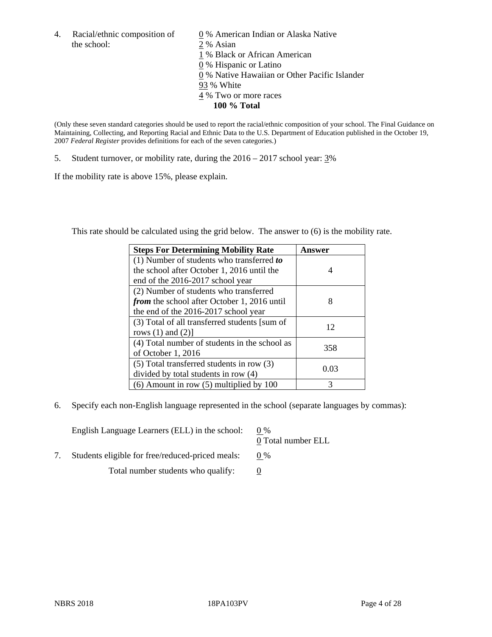4. Racial/ethnic composition of  $\qquad 0\%$  American Indian or Alaska Native the school: 2 % Asian

 % Black or African American % Hispanic or Latino % Native Hawaiian or Other Pacific Islander 93 % White % Two or more races **100 % Total**

(Only these seven standard categories should be used to report the racial/ethnic composition of your school. The Final Guidance on Maintaining, Collecting, and Reporting Racial and Ethnic Data to the U.S. Department of Education published in the October 19, 2007 *Federal Register* provides definitions for each of the seven categories.)

5. Student turnover, or mobility rate, during the  $2016 - 2017$  school year:  $3\%$ 

If the mobility rate is above 15%, please explain.

This rate should be calculated using the grid below. The answer to (6) is the mobility rate.

| <b>Steps For Determining Mobility Rate</b>    | Answer |
|-----------------------------------------------|--------|
| $(1)$ Number of students who transferred to   |        |
| the school after October 1, 2016 until the    | 4      |
| end of the 2016-2017 school year              |        |
| (2) Number of students who transferred        |        |
| from the school after October 1, 2016 until   | 8      |
| the end of the 2016-2017 school year          |        |
| (3) Total of all transferred students [sum of | 12     |
| rows $(1)$ and $(2)$ ]                        |        |
| (4) Total number of students in the school as |        |
| of October 1, 2016                            | 358    |
| $(5)$ Total transferred students in row $(3)$ |        |
| divided by total students in row (4)          | 0.03   |
| $(6)$ Amount in row $(5)$ multiplied by 100   | 3      |

6. Specify each non-English language represented in the school (separate languages by commas):

| English Language Learners (ELL) in the school:   | $0\%$<br>0 Total number ELL |
|--------------------------------------------------|-----------------------------|
| Students eligible for free/reduced-priced meals: | $0\%$                       |
| Total number students who qualify:               |                             |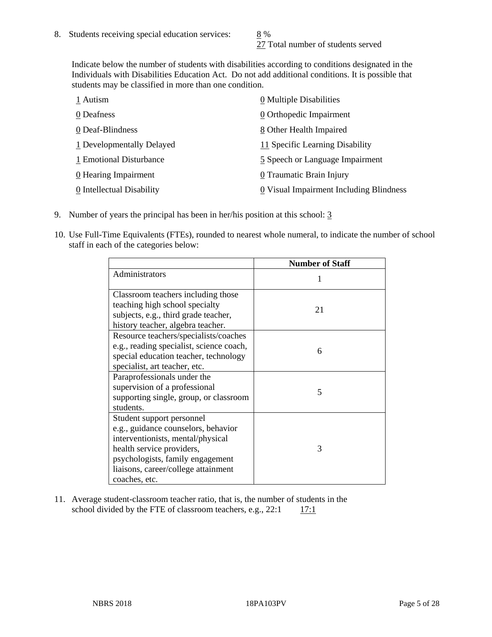27 Total number of students served

Indicate below the number of students with disabilities according to conditions designated in the Individuals with Disabilities Education Act. Do not add additional conditions. It is possible that students may be classified in more than one condition.

| 1 Autism                  | 0 Multiple Disabilities                 |
|---------------------------|-----------------------------------------|
| 0 Deafness                | 0 Orthopedic Impairment                 |
| 0 Deaf-Blindness          | 8 Other Health Impaired                 |
| 1 Developmentally Delayed | 11 Specific Learning Disability         |
| 1 Emotional Disturbance   | 5 Speech or Language Impairment         |
| $0$ Hearing Impairment    | 0 Traumatic Brain Injury                |
| 0 Intellectual Disability | 0 Visual Impairment Including Blindness |

- 9. Number of years the principal has been in her/his position at this school: 3
- 10. Use Full-Time Equivalents (FTEs), rounded to nearest whole numeral, to indicate the number of school staff in each of the categories below:

|                                                                                                                                                                                                                                | <b>Number of Staff</b> |
|--------------------------------------------------------------------------------------------------------------------------------------------------------------------------------------------------------------------------------|------------------------|
| Administrators                                                                                                                                                                                                                 |                        |
| Classroom teachers including those<br>teaching high school specialty<br>subjects, e.g., third grade teacher,<br>history teacher, algebra teacher.                                                                              | 21                     |
| Resource teachers/specialists/coaches<br>e.g., reading specialist, science coach,<br>special education teacher, technology<br>specialist, art teacher, etc.                                                                    | 6                      |
| Paraprofessionals under the<br>supervision of a professional<br>supporting single, group, or classroom<br>students.                                                                                                            | 5                      |
| Student support personnel<br>e.g., guidance counselors, behavior<br>interventionists, mental/physical<br>health service providers,<br>psychologists, family engagement<br>liaisons, career/college attainment<br>coaches, etc. | 3                      |

11. Average student-classroom teacher ratio, that is, the number of students in the school divided by the FTE of classroom teachers, e.g.,  $22:1$  17:1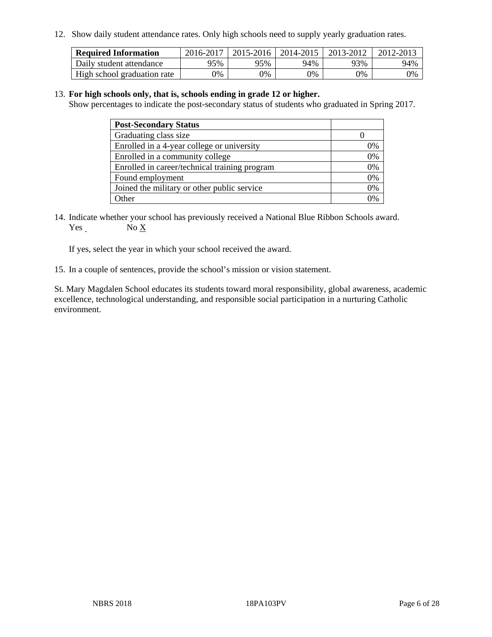12. Show daily student attendance rates. Only high schools need to supply yearly graduation rates.

| <b>Required Information</b> | 2016-2017 | 2015-2016 | 2014-2015 | 2013-2012 | 2012-2013 |
|-----------------------------|-----------|-----------|-----------|-----------|-----------|
| Daily student attendance    | 95%       | 95%       | 94%       | 93%       | 94%       |
| High school graduation rate | 0%        | 0%        | 0%        | 0%        | 0%        |

#### 13. **For high schools only, that is, schools ending in grade 12 or higher.**

Show percentages to indicate the post-secondary status of students who graduated in Spring 2017.

| <b>Post-Secondary Status</b>                  |    |
|-----------------------------------------------|----|
| Graduating class size                         |    |
| Enrolled in a 4-year college or university    | 0% |
| Enrolled in a community college               | 0% |
| Enrolled in career/technical training program | 0% |
| Found employment                              | 0% |
| Joined the military or other public service   | 0% |
| $\Delta$ ther                                 |    |

14. Indicate whether your school has previously received a National Blue Ribbon Schools award. Yes No X

If yes, select the year in which your school received the award.

15. In a couple of sentences, provide the school's mission or vision statement.

St. Mary Magdalen School educates its students toward moral responsibility, global awareness, academic excellence, technological understanding, and responsible social participation in a nurturing Catholic environment.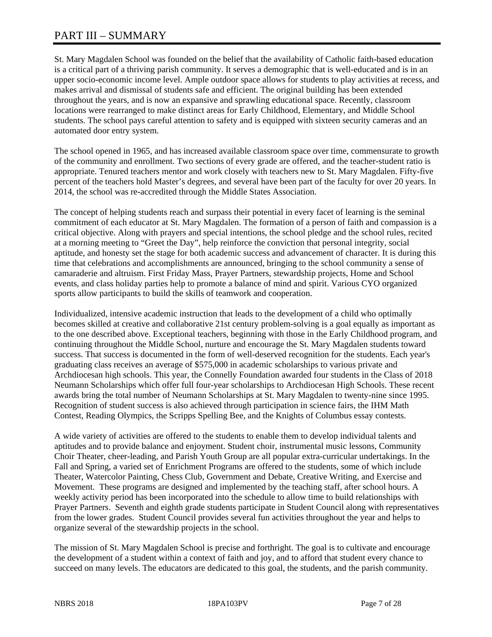# PART III – SUMMARY

St. Mary Magdalen School was founded on the belief that the availability of Catholic faith-based education is a critical part of a thriving parish community. It serves a demographic that is well-educated and is in an upper socio-economic income level. Ample outdoor space allows for students to play activities at recess, and makes arrival and dismissal of students safe and efficient. The original building has been extended throughout the years, and is now an expansive and sprawling educational space. Recently, classroom locations were rearranged to make distinct areas for Early Childhood, Elementary, and Middle School students. The school pays careful attention to safety and is equipped with sixteen security cameras and an automated door entry system.

The school opened in 1965, and has increased available classroom space over time, commensurate to growth of the community and enrollment. Two sections of every grade are offered, and the teacher-student ratio is appropriate. Tenured teachers mentor and work closely with teachers new to St. Mary Magdalen. Fifty-five percent of the teachers hold Master's degrees, and several have been part of the faculty for over 20 years. In 2014, the school was re-accredited through the Middle States Association.

The concept of helping students reach and surpass their potential in every facet of learning is the seminal commitment of each educator at St. Mary Magdalen. The formation of a person of faith and compassion is a critical objective. Along with prayers and special intentions, the school pledge and the school rules, recited at a morning meeting to "Greet the Day", help reinforce the conviction that personal integrity, social aptitude, and honesty set the stage for both academic success and advancement of character. It is during this time that celebrations and accomplishments are announced, bringing to the school community a sense of camaraderie and altruism. First Friday Mass, Prayer Partners, stewardship projects, Home and School events, and class holiday parties help to promote a balance of mind and spirit. Various CYO organized sports allow participants to build the skills of teamwork and cooperation.

Individualized, intensive academic instruction that leads to the development of a child who optimally becomes skilled at creative and collaborative 21st century problem-solving is a goal equally as important as to the one described above. Exceptional teachers, beginning with those in the Early Childhood program, and continuing throughout the Middle School, nurture and encourage the St. Mary Magdalen students toward success. That success is documented in the form of well-deserved recognition for the students. Each year's graduating class receives an average of \$575,000 in academic scholarships to various private and Archdiocesan high schools. This year, the Connelly Foundation awarded four students in the Class of 2018 Neumann Scholarships which offer full four-year scholarships to Archdiocesan High Schools. These recent awards bring the total number of Neumann Scholarships at St. Mary Magdalen to twenty-nine since 1995. Recognition of student success is also achieved through participation in science fairs, the IHM Math Contest, Reading Olympics, the Scripps Spelling Bee, and the Knights of Columbus essay contests.

A wide variety of activities are offered to the students to enable them to develop individual talents and aptitudes and to provide balance and enjoyment. Student choir, instrumental music lessons, Community Choir Theater, cheer-leading, and Parish Youth Group are all popular extra-curricular undertakings. In the Fall and Spring, a varied set of Enrichment Programs are offered to the students, some of which include Theater, Watercolor Painting, Chess Club, Government and Debate, Creative Writing, and Exercise and Movement. These programs are designed and implemented by the teaching staff, after school hours. A weekly activity period has been incorporated into the schedule to allow time to build relationships with Prayer Partners. Seventh and eighth grade students participate in Student Council along with representatives from the lower grades. Student Council provides several fun activities throughout the year and helps to organize several of the stewardship projects in the school.

The mission of St. Mary Magdalen School is precise and forthright. The goal is to cultivate and encourage the development of a student within a context of faith and joy, and to afford that student every chance to succeed on many levels. The educators are dedicated to this goal, the students, and the parish community.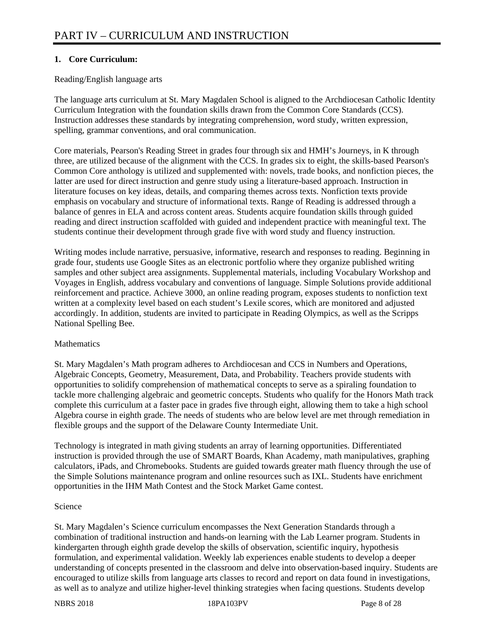#### **1. Core Curriculum:**

#### Reading/English language arts

The language arts curriculum at St. Mary Magdalen School is aligned to the Archdiocesan Catholic Identity Curriculum Integration with the foundation skills drawn from the Common Core Standards (CCS). Instruction addresses these standards by integrating comprehension, word study, written expression, spelling, grammar conventions, and oral communication.

Core materials, Pearson's Reading Street in grades four through six and HMH's Journeys, in K through three, are utilized because of the alignment with the CCS. In grades six to eight, the skills-based Pearson's Common Core anthology is utilized and supplemented with: novels, trade books, and nonfiction pieces, the latter are used for direct instruction and genre study using a literature-based approach. Instruction in literature focuses on key ideas, details, and comparing themes across texts. Nonfiction texts provide emphasis on vocabulary and structure of informational texts. Range of Reading is addressed through a balance of genres in ELA and across content areas. Students acquire foundation skills through guided reading and direct instruction scaffolded with guided and independent practice with meaningful text. The students continue their development through grade five with word study and fluency instruction.

Writing modes include narrative, persuasive, informative, research and responses to reading. Beginning in grade four, students use Google Sites as an electronic portfolio where they organize published writing samples and other subject area assignments. Supplemental materials, including Vocabulary Workshop and Voyages in English, address vocabulary and conventions of language. Simple Solutions provide additional reinforcement and practice. Achieve 3000, an online reading program, exposes students to nonfiction text written at a complexity level based on each student's Lexile scores, which are monitored and adjusted accordingly. In addition, students are invited to participate in Reading Olympics, as well as the Scripps National Spelling Bee.

#### **Mathematics**

St. Mary Magdalen's Math program adheres to Archdiocesan and CCS in Numbers and Operations, Algebraic Concepts, Geometry, Measurement, Data, and Probability. Teachers provide students with opportunities to solidify comprehension of mathematical concepts to serve as a spiraling foundation to tackle more challenging algebraic and geometric concepts. Students who qualify for the Honors Math track complete this curriculum at a faster pace in grades five through eight, allowing them to take a high school Algebra course in eighth grade. The needs of students who are below level are met through remediation in flexible groups and the support of the Delaware County Intermediate Unit.

Technology is integrated in math giving students an array of learning opportunities. Differentiated instruction is provided through the use of SMART Boards, Khan Academy, math manipulatives, graphing calculators, iPads, and Chromebooks. Students are guided towards greater math fluency through the use of the Simple Solutions maintenance program and online resources such as IXL. Students have enrichment opportunities in the IHM Math Contest and the Stock Market Game contest.

#### Science

St. Mary Magdalen's Science curriculum encompasses the Next Generation Standards through a combination of traditional instruction and hands-on learning with the Lab Learner program. Students in kindergarten through eighth grade develop the skills of observation, scientific inquiry, hypothesis formulation, and experimental validation. Weekly lab experiences enable students to develop a deeper understanding of concepts presented in the classroom and delve into observation-based inquiry. Students are encouraged to utilize skills from language arts classes to record and report on data found in investigations, as well as to analyze and utilize higher-level thinking strategies when facing questions. Students develop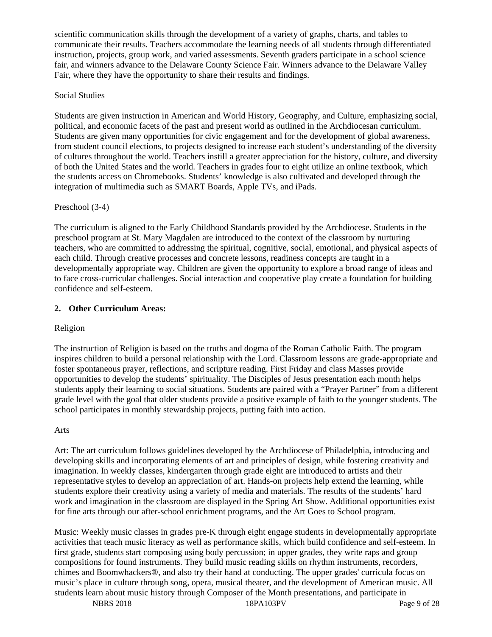scientific communication skills through the development of a variety of graphs, charts, and tables to communicate their results. Teachers accommodate the learning needs of all students through differentiated instruction, projects, group work, and varied assessments. Seventh graders participate in a school science fair, and winners advance to the Delaware County Science Fair. Winners advance to the Delaware Valley Fair, where they have the opportunity to share their results and findings.

#### Social Studies

Students are given instruction in American and World History, Geography, and Culture, emphasizing social, political, and economic facets of the past and present world as outlined in the Archdiocesan curriculum. Students are given many opportunities for civic engagement and for the development of global awareness, from student council elections, to projects designed to increase each student's understanding of the diversity of cultures throughout the world. Teachers instill a greater appreciation for the history, culture, and diversity of both the United States and the world. Teachers in grades four to eight utilize an online textbook, which the students access on Chromebooks. Students' knowledge is also cultivated and developed through the integration of multimedia such as SMART Boards, Apple TVs, and iPads.

#### Preschool (3-4)

The curriculum is aligned to the Early Childhood Standards provided by the Archdiocese. Students in the preschool program at St. Mary Magdalen are introduced to the context of the classroom by nurturing teachers, who are committed to addressing the spiritual, cognitive, social, emotional, and physical aspects of each child. Through creative processes and concrete lessons, readiness concepts are taught in a developmentally appropriate way. Children are given the opportunity to explore a broad range of ideas and to face cross-curricular challenges. Social interaction and cooperative play create a foundation for building confidence and self-esteem.

#### **2. Other Curriculum Areas:**

#### Religion

The instruction of Religion is based on the truths and dogma of the Roman Catholic Faith. The program inspires children to build a personal relationship with the Lord. Classroom lessons are grade-appropriate and foster spontaneous prayer, reflections, and scripture reading. First Friday and class Masses provide opportunities to develop the students' spirituality. The Disciples of Jesus presentation each month helps students apply their learning to social situations. Students are paired with a "Prayer Partner" from a different grade level with the goal that older students provide a positive example of faith to the younger students. The school participates in monthly stewardship projects, putting faith into action.

#### Arts

Art: The art curriculum follows guidelines developed by the Archdiocese of Philadelphia, introducing and developing skills and incorporating elements of art and principles of design, while fostering creativity and imagination. In weekly classes, kindergarten through grade eight are introduced to artists and their representative styles to develop an appreciation of art. Hands-on projects help extend the learning, while students explore their creativity using a variety of media and materials. The results of the students' hard work and imagination in the classroom are displayed in the Spring Art Show. Additional opportunities exist for fine arts through our after-school enrichment programs, and the Art Goes to School program.

Music: Weekly music classes in grades pre-K through eight engage students in developmentally appropriate activities that teach music literacy as well as performance skills, which build confidence and self-esteem. In first grade, students start composing using body percussion; in upper grades, they write raps and group compositions for found instruments. They build music reading skills on rhythm instruments, recorders, chimes and Boomwhackers®, and also try their hand at conducting. The upper grades' curricula focus on music's place in culture through song, opera, musical theater, and the development of American music. All students learn about music history through Composer of the Month presentations, and participate in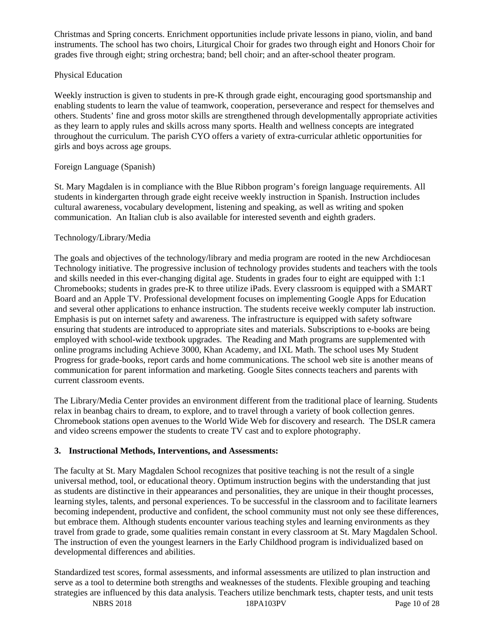Christmas and Spring concerts. Enrichment opportunities include private lessons in piano, violin, and band instruments. The school has two choirs, Liturgical Choir for grades two through eight and Honors Choir for grades five through eight; string orchestra; band; bell choir; and an after-school theater program.

#### Physical Education

Weekly instruction is given to students in pre-K through grade eight, encouraging good sportsmanship and enabling students to learn the value of teamwork, cooperation, perseverance and respect for themselves and others. Students' fine and gross motor skills are strengthened through developmentally appropriate activities as they learn to apply rules and skills across many sports. Health and wellness concepts are integrated throughout the curriculum. The parish CYO offers a variety of extra-curricular athletic opportunities for girls and boys across age groups.

#### Foreign Language (Spanish)

St. Mary Magdalen is in compliance with the Blue Ribbon program's foreign language requirements. All students in kindergarten through grade eight receive weekly instruction in Spanish. Instruction includes cultural awareness, vocabulary development, listening and speaking, as well as writing and spoken communication. An Italian club is also available for interested seventh and eighth graders.

#### Technology/Library/Media

The goals and objectives of the technology/library and media program are rooted in the new Archdiocesan Technology initiative. The progressive inclusion of technology provides students and teachers with the tools and skills needed in this ever-changing digital age. Students in grades four to eight are equipped with 1:1 Chromebooks; students in grades pre-K to three utilize iPads. Every classroom is equipped with a SMART Board and an Apple TV. Professional development focuses on implementing Google Apps for Education and several other applications to enhance instruction. The students receive weekly computer lab instruction. Emphasis is put on internet safety and awareness. The infrastructure is equipped with safety software ensuring that students are introduced to appropriate sites and materials. Subscriptions to e-books are being employed with school-wide textbook upgrades. The Reading and Math programs are supplemented with online programs including Achieve 3000, Khan Academy, and IXL Math. The school uses My Student Progress for grade-books, report cards and home communications. The school web site is another means of communication for parent information and marketing. Google Sites connects teachers and parents with current classroom events.

The Library/Media Center provides an environment different from the traditional place of learning. Students relax in beanbag chairs to dream, to explore, and to travel through a variety of book collection genres. Chromebook stations open avenues to the World Wide Web for discovery and research. The DSLR camera and video screens empower the students to create TV cast and to explore photography.

#### **3. Instructional Methods, Interventions, and Assessments:**

The faculty at St. Mary Magdalen School recognizes that positive teaching is not the result of a single universal method, tool, or educational theory. Optimum instruction begins with the understanding that just as students are distinctive in their appearances and personalities, they are unique in their thought processes, learning styles, talents, and personal experiences. To be successful in the classroom and to facilitate learners becoming independent, productive and confident, the school community must not only see these differences, but embrace them. Although students encounter various teaching styles and learning environments as they travel from grade to grade, some qualities remain constant in every classroom at St. Mary Magdalen School. The instruction of even the youngest learners in the Early Childhood program is individualized based on developmental differences and abilities.

NBRS 2018 18PA103PV Page 10 of 28 Standardized test scores, formal assessments, and informal assessments are utilized to plan instruction and serve as a tool to determine both strengths and weaknesses of the students. Flexible grouping and teaching strategies are influenced by this data analysis. Teachers utilize benchmark tests, chapter tests, and unit tests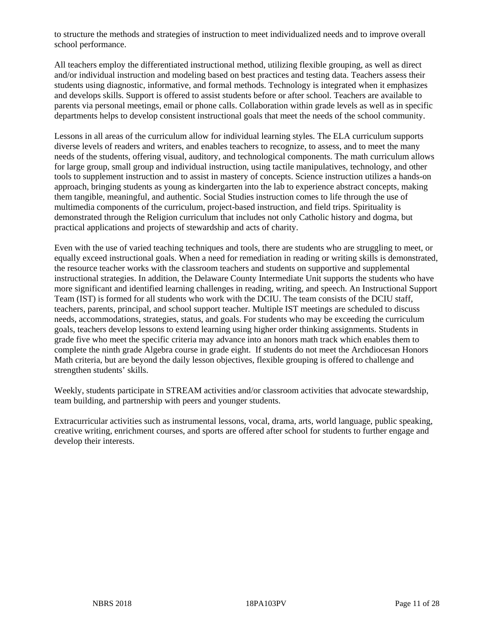to structure the methods and strategies of instruction to meet individualized needs and to improve overall school performance.

All teachers employ the differentiated instructional method, utilizing flexible grouping, as well as direct and/or individual instruction and modeling based on best practices and testing data. Teachers assess their students using diagnostic, informative, and formal methods. Technology is integrated when it emphasizes and develops skills. Support is offered to assist students before or after school. Teachers are available to parents via personal meetings, email or phone calls. Collaboration within grade levels as well as in specific departments helps to develop consistent instructional goals that meet the needs of the school community.

Lessons in all areas of the curriculum allow for individual learning styles. The ELA curriculum supports diverse levels of readers and writers, and enables teachers to recognize, to assess, and to meet the many needs of the students, offering visual, auditory, and technological components. The math curriculum allows for large group, small group and individual instruction, using tactile manipulatives, technology, and other tools to supplement instruction and to assist in mastery of concepts. Science instruction utilizes a hands-on approach, bringing students as young as kindergarten into the lab to experience abstract concepts, making them tangible, meaningful, and authentic. Social Studies instruction comes to life through the use of multimedia components of the curriculum, project-based instruction, and field trips. Spirituality is demonstrated through the Religion curriculum that includes not only Catholic history and dogma, but practical applications and projects of stewardship and acts of charity.

Even with the use of varied teaching techniques and tools, there are students who are struggling to meet, or equally exceed instructional goals. When a need for remediation in reading or writing skills is demonstrated, the resource teacher works with the classroom teachers and students on supportive and supplemental instructional strategies. In addition, the Delaware County Intermediate Unit supports the students who have more significant and identified learning challenges in reading, writing, and speech. An Instructional Support Team (IST) is formed for all students who work with the DCIU. The team consists of the DCIU staff, teachers, parents, principal, and school support teacher. Multiple IST meetings are scheduled to discuss needs, accommodations, strategies, status, and goals. For students who may be exceeding the curriculum goals, teachers develop lessons to extend learning using higher order thinking assignments. Students in grade five who meet the specific criteria may advance into an honors math track which enables them to complete the ninth grade Algebra course in grade eight. If students do not meet the Archdiocesan Honors Math criteria, but are beyond the daily lesson objectives, flexible grouping is offered to challenge and strengthen students' skills.

Weekly, students participate in STREAM activities and/or classroom activities that advocate stewardship, team building, and partnership with peers and younger students.

Extracurricular activities such as instrumental lessons, vocal, drama, arts, world language, public speaking, creative writing, enrichment courses, and sports are offered after school for students to further engage and develop their interests.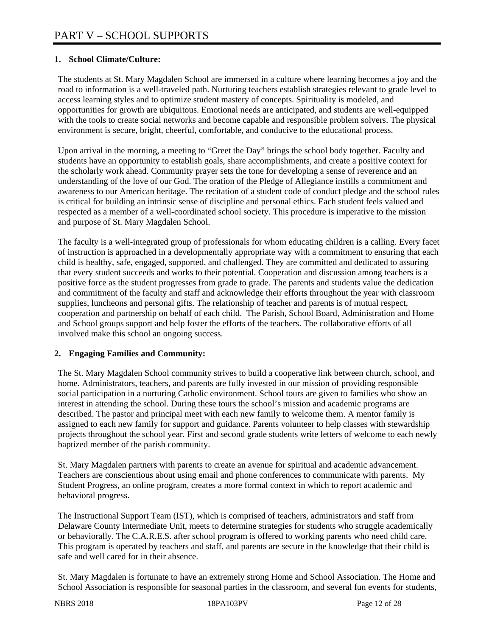### **1. School Climate/Culture:**

The students at St. Mary Magdalen School are immersed in a culture where learning becomes a joy and the road to information is a well-traveled path. Nurturing teachers establish strategies relevant to grade level to access learning styles and to optimize student mastery of concepts. Spirituality is modeled, and opportunities for growth are ubiquitous. Emotional needs are anticipated, and students are well-equipped with the tools to create social networks and become capable and responsible problem solvers. The physical environment is secure, bright, cheerful, comfortable, and conducive to the educational process.

Upon arrival in the morning, a meeting to "Greet the Day" brings the school body together. Faculty and students have an opportunity to establish goals, share accomplishments, and create a positive context for the scholarly work ahead. Community prayer sets the tone for developing a sense of reverence and an understanding of the love of our God. The oration of the Pledge of Allegiance instills a commitment and awareness to our American heritage. The recitation of a student code of conduct pledge and the school rules is critical for building an intrinsic sense of discipline and personal ethics. Each student feels valued and respected as a member of a well-coordinated school society. This procedure is imperative to the mission and purpose of St. Mary Magdalen School.

The faculty is a well-integrated group of professionals for whom educating children is a calling. Every facet of instruction is approached in a developmentally appropriate way with a commitment to ensuring that each child is healthy, safe, engaged, supported, and challenged. They are committed and dedicated to assuring that every student succeeds and works to their potential. Cooperation and discussion among teachers is a positive force as the student progresses from grade to grade. The parents and students value the dedication and commitment of the faculty and staff and acknowledge their efforts throughout the year with classroom supplies, luncheons and personal gifts. The relationship of teacher and parents is of mutual respect, cooperation and partnership on behalf of each child. The Parish, School Board, Administration and Home and School groups support and help foster the efforts of the teachers. The collaborative efforts of all involved make this school an ongoing success.

#### **2. Engaging Families and Community:**

The St. Mary Magdalen School community strives to build a cooperative link between church, school, and home. Administrators, teachers, and parents are fully invested in our mission of providing responsible social participation in a nurturing Catholic environment. School tours are given to families who show an interest in attending the school. During these tours the school's mission and academic programs are described. The pastor and principal meet with each new family to welcome them. A mentor family is assigned to each new family for support and guidance. Parents volunteer to help classes with stewardship projects throughout the school year. First and second grade students write letters of welcome to each newly baptized member of the parish community.

St. Mary Magdalen partners with parents to create an avenue for spiritual and academic advancement. Teachers are conscientious about using email and phone conferences to communicate with parents. My Student Progress, an online program, creates a more formal context in which to report academic and behavioral progress.

The Instructional Support Team (IST), which is comprised of teachers, administrators and staff from Delaware County Intermediate Unit, meets to determine strategies for students who struggle academically or behaviorally. The C.A.R.E.S. after school program is offered to working parents who need child care. This program is operated by teachers and staff, and parents are secure in the knowledge that their child is safe and well cared for in their absence.

St. Mary Magdalen is fortunate to have an extremely strong Home and School Association. The Home and School Association is responsible for seasonal parties in the classroom, and several fun events for students,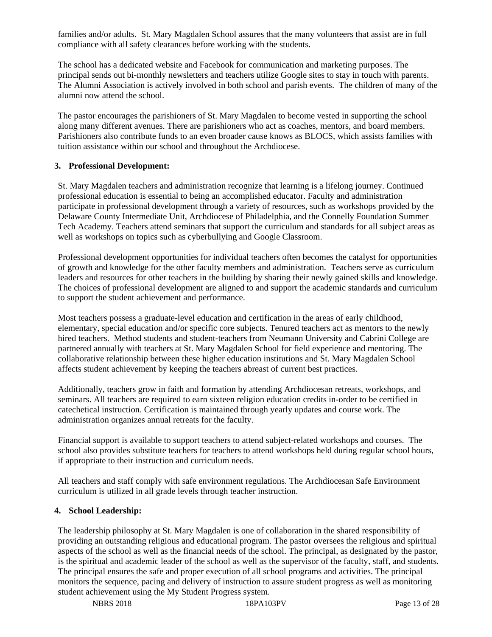families and/or adults. St. Mary Magdalen School assures that the many volunteers that assist are in full compliance with all safety clearances before working with the students.

The school has a dedicated website and Facebook for communication and marketing purposes. The principal sends out bi-monthly newsletters and teachers utilize Google sites to stay in touch with parents. The Alumni Association is actively involved in both school and parish events. The children of many of the alumni now attend the school.

The pastor encourages the parishioners of St. Mary Magdalen to become vested in supporting the school along many different avenues. There are parishioners who act as coaches, mentors, and board members. Parishioners also contribute funds to an even broader cause knows as BLOCS, which assists families with tuition assistance within our school and throughout the Archdiocese.

#### **3. Professional Development:**

St. Mary Magdalen teachers and administration recognize that learning is a lifelong journey. Continued professional education is essential to being an accomplished educator. Faculty and administration participate in professional development through a variety of resources, such as workshops provided by the Delaware County Intermediate Unit, Archdiocese of Philadelphia, and the Connelly Foundation Summer Tech Academy. Teachers attend seminars that support the curriculum and standards for all subject areas as well as workshops on topics such as cyberbullying and Google Classroom.

Professional development opportunities for individual teachers often becomes the catalyst for opportunities of growth and knowledge for the other faculty members and administration. Teachers serve as curriculum leaders and resources for other teachers in the building by sharing their newly gained skills and knowledge. The choices of professional development are aligned to and support the academic standards and curriculum to support the student achievement and performance.

Most teachers possess a graduate-level education and certification in the areas of early childhood, elementary, special education and/or specific core subjects. Tenured teachers act as mentors to the newly hired teachers. Method students and student-teachers from Neumann University and Cabrini College are partnered annually with teachers at St. Mary Magdalen School for field experience and mentoring. The collaborative relationship between these higher education institutions and St. Mary Magdalen School affects student achievement by keeping the teachers abreast of current best practices.

Additionally, teachers grow in faith and formation by attending Archdiocesan retreats, workshops, and seminars. All teachers are required to earn sixteen religion education credits in-order to be certified in catechetical instruction. Certification is maintained through yearly updates and course work. The administration organizes annual retreats for the faculty.

Financial support is available to support teachers to attend subject-related workshops and courses. The school also provides substitute teachers for teachers to attend workshops held during regular school hours, if appropriate to their instruction and curriculum needs.

All teachers and staff comply with safe environment regulations. The Archdiocesan Safe Environment curriculum is utilized in all grade levels through teacher instruction.

#### **4. School Leadership:**

The leadership philosophy at St. Mary Magdalen is one of collaboration in the shared responsibility of providing an outstanding religious and educational program. The pastor oversees the religious and spiritual aspects of the school as well as the financial needs of the school. The principal, as designated by the pastor, is the spiritual and academic leader of the school as well as the supervisor of the faculty, staff, and students. The principal ensures the safe and proper execution of all school programs and activities. The principal monitors the sequence, pacing and delivery of instruction to assure student progress as well as monitoring student achievement using the My Student Progress system.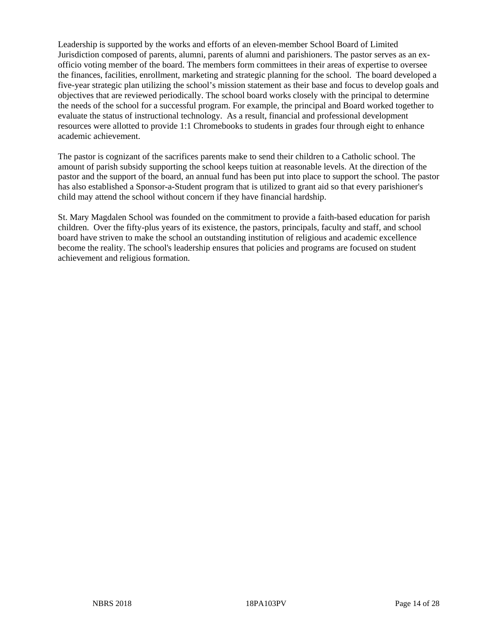Leadership is supported by the works and efforts of an eleven-member School Board of Limited Jurisdiction composed of parents, alumni, parents of alumni and parishioners. The pastor serves as an exofficio voting member of the board. The members form committees in their areas of expertise to oversee the finances, facilities, enrollment, marketing and strategic planning for the school. The board developed a five-year strategic plan utilizing the school's mission statement as their base and focus to develop goals and objectives that are reviewed periodically. The school board works closely with the principal to determine the needs of the school for a successful program. For example, the principal and Board worked together to evaluate the status of instructional technology. As a result, financial and professional development resources were allotted to provide 1:1 Chromebooks to students in grades four through eight to enhance academic achievement.

The pastor is cognizant of the sacrifices parents make to send their children to a Catholic school. The amount of parish subsidy supporting the school keeps tuition at reasonable levels. At the direction of the pastor and the support of the board, an annual fund has been put into place to support the school. The pastor has also established a Sponsor-a-Student program that is utilized to grant aid so that every parishioner's child may attend the school without concern if they have financial hardship.

St. Mary Magdalen School was founded on the commitment to provide a faith-based education for parish children. Over the fifty-plus years of its existence, the pastors, principals, faculty and staff, and school board have striven to make the school an outstanding institution of religious and academic excellence become the reality. The school's leadership ensures that policies and programs are focused on student achievement and religious formation.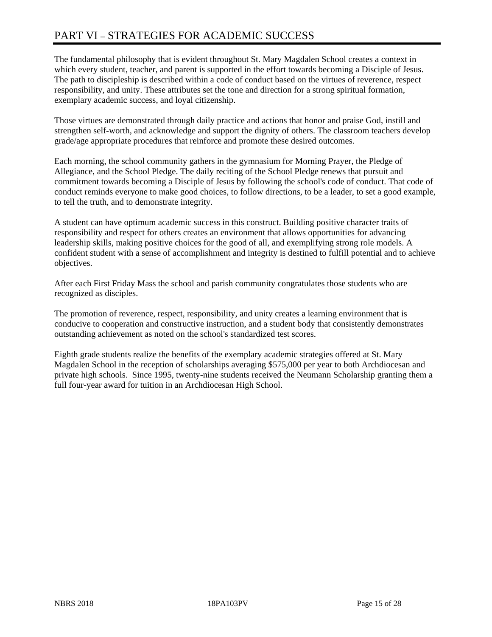# PART VI – STRATEGIES FOR ACADEMIC SUCCESS

The fundamental philosophy that is evident throughout St. Mary Magdalen School creates a context in which every student, teacher, and parent is supported in the effort towards becoming a Disciple of Jesus. The path to discipleship is described within a code of conduct based on the virtues of reverence, respect responsibility, and unity. These attributes set the tone and direction for a strong spiritual formation, exemplary academic success, and loyal citizenship.

Those virtues are demonstrated through daily practice and actions that honor and praise God, instill and strengthen self-worth, and acknowledge and support the dignity of others. The classroom teachers develop grade/age appropriate procedures that reinforce and promote these desired outcomes.

Each morning, the school community gathers in the gymnasium for Morning Prayer, the Pledge of Allegiance, and the School Pledge. The daily reciting of the School Pledge renews that pursuit and commitment towards becoming a Disciple of Jesus by following the school's code of conduct. That code of conduct reminds everyone to make good choices, to follow directions, to be a leader, to set a good example, to tell the truth, and to demonstrate integrity.

A student can have optimum academic success in this construct. Building positive character traits of responsibility and respect for others creates an environment that allows opportunities for advancing leadership skills, making positive choices for the good of all, and exemplifying strong role models. A confident student with a sense of accomplishment and integrity is destined to fulfill potential and to achieve objectives.

After each First Friday Mass the school and parish community congratulates those students who are recognized as disciples.

The promotion of reverence, respect, responsibility, and unity creates a learning environment that is conducive to cooperation and constructive instruction, and a student body that consistently demonstrates outstanding achievement as noted on the school's standardized test scores.

Eighth grade students realize the benefits of the exemplary academic strategies offered at St. Mary Magdalen School in the reception of scholarships averaging \$575,000 per year to both Archdiocesan and private high schools. Since 1995, twenty-nine students received the Neumann Scholarship granting them a full four-year award for tuition in an Archdiocesan High School.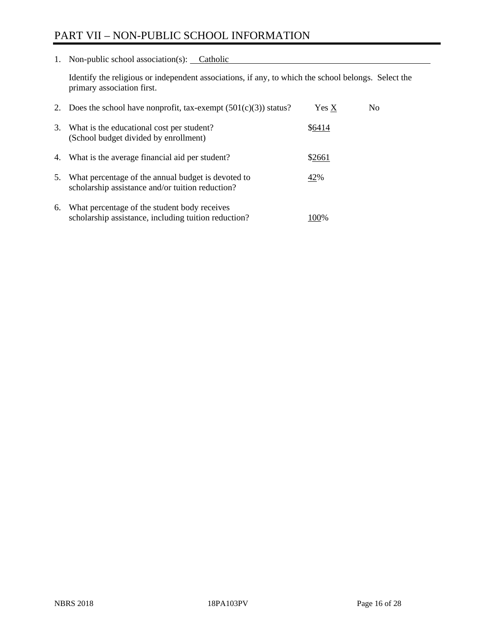# PART VII – NON-PUBLIC SCHOOL INFORMATION

1. Non-public school association(s): Catholic

Identify the religious or independent associations, if any, to which the school belongs. Select the primary association first.

| 2. | Does the school have nonprofit, tax-exempt $(501(c)(3))$ status?                                       | Yes X  | No. |
|----|--------------------------------------------------------------------------------------------------------|--------|-----|
| 3. | What is the educational cost per student?<br>(School budget divided by enrollment)                     | \$6414 |     |
| 4. | What is the average financial aid per student?                                                         | \$2661 |     |
| 5. | What percentage of the annual budget is devoted to<br>scholarship assistance and/or tuition reduction? | 42%    |     |
| 6. | What percentage of the student body receives<br>scholarship assistance, including tuition reduction?   | 100%   |     |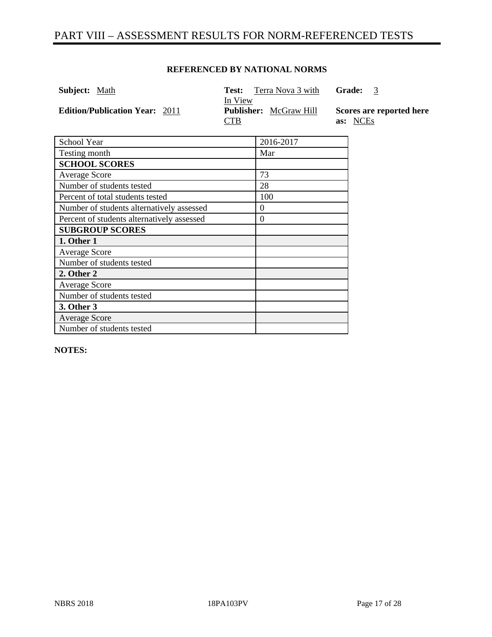# PART VIII – ASSESSMENT RESULTS FOR NORM-REFERENCED TESTS

#### **REFERENCED BY NATIONAL NORMS**

| <b>Subject:</b> Math<br>Test:<br>In View     | Terra Nova 3 with             | <b>Grade:</b><br>3                   |
|----------------------------------------------|-------------------------------|--------------------------------------|
| <b>Edition/Publication Year: 2011</b><br>CTB | <b>Publisher:</b> McGraw Hill | Scores are reported here<br>as: NCEs |

| School Year                                | 2016-2017 |
|--------------------------------------------|-----------|
| Testing month                              | Mar       |
| <b>SCHOOL SCORES</b>                       |           |
| Average Score                              | 73        |
| Number of students tested                  | 28        |
| Percent of total students tested           | 100       |
| Number of students alternatively assessed  | $\theta$  |
| Percent of students alternatively assessed | $\theta$  |
| <b>SUBGROUP SCORES</b>                     |           |
| 1. Other 1                                 |           |
| <b>Average Score</b>                       |           |
| Number of students tested                  |           |
| 2. Other 2                                 |           |
| Average Score                              |           |
| Number of students tested                  |           |
| 3. Other 3                                 |           |
| <b>Average Score</b>                       |           |
| Number of students tested                  |           |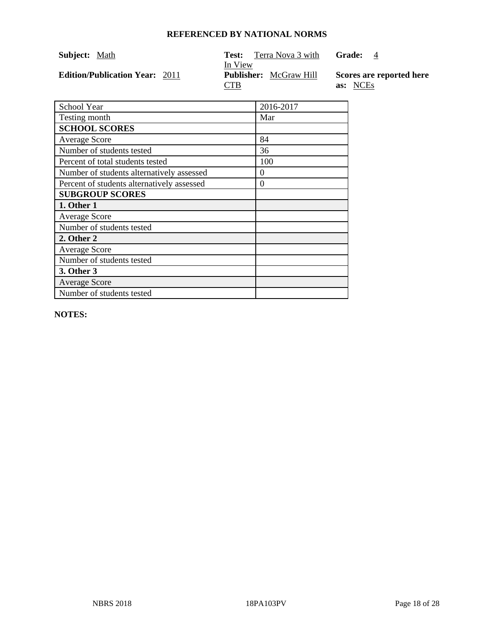| Subject: Math                         | Terra Nova 3 with<br>Test:    | Grade:<br>$\overline{4}$ |
|---------------------------------------|-------------------------------|--------------------------|
|                                       | In View                       |                          |
| <b>Edition/Publication Year: 2011</b> | <b>Publisher:</b> McGraw Hill | Scores are reported here |
|                                       |                               |                          |

| School Year                                | 2016-2017 |
|--------------------------------------------|-----------|
| Testing month                              | Mar       |
| <b>SCHOOL SCORES</b>                       |           |
| <b>Average Score</b>                       | 84        |
| Number of students tested                  | 36        |
| Percent of total students tested           | 100       |
| Number of students alternatively assessed  | $\Omega$  |
| Percent of students alternatively assessed | $\Omega$  |
| <b>SUBGROUP SCORES</b>                     |           |
| 1. Other 1                                 |           |
| <b>Average Score</b>                       |           |
| Number of students tested                  |           |
| 2. Other 2                                 |           |
| <b>Average Score</b>                       |           |
| Number of students tested                  |           |
| 3. Other 3                                 |           |
| <b>Average Score</b>                       |           |
| Number of students tested                  |           |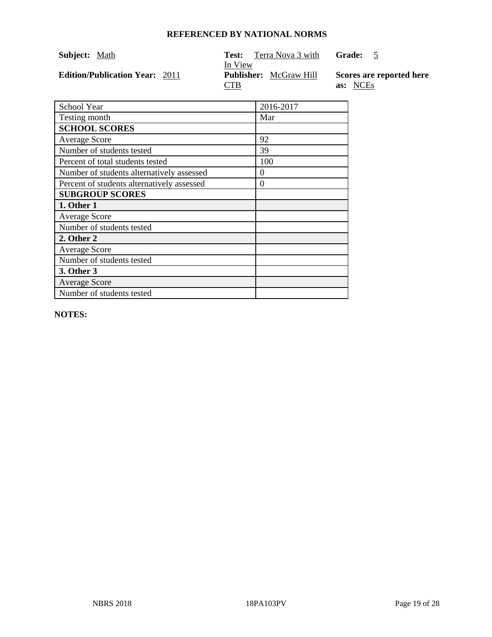| Subject: Math                         | Terra Nova 3 with<br>Test:<br>In View | Grade: 5                             |
|---------------------------------------|---------------------------------------|--------------------------------------|
| <b>Edition/Publication Year: 2011</b> | <b>Publisher:</b> McGraw Hill<br>CTB  | Scores are reported here<br>as: NCEs |

| School Year                                | 2016-2017 |
|--------------------------------------------|-----------|
| Testing month                              | Mar       |
| <b>SCHOOL SCORES</b>                       |           |
| <b>Average Score</b>                       | 92        |
| Number of students tested                  | 39        |
| Percent of total students tested           | 100       |
| Number of students alternatively assessed  | $\theta$  |
| Percent of students alternatively assessed | 0         |
| <b>SUBGROUP SCORES</b>                     |           |
| 1. Other 1                                 |           |
| <b>Average Score</b>                       |           |
| Number of students tested                  |           |
| 2. Other 2                                 |           |
| <b>Average Score</b>                       |           |
| Number of students tested                  |           |
| <b>3. Other 3</b>                          |           |
| <b>Average Score</b>                       |           |
| Number of students tested                  |           |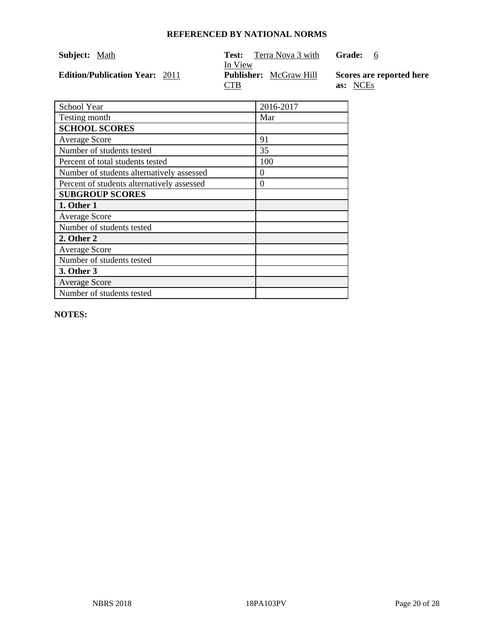| Subject: Math                         | Terra Nova 3 with<br>Test:    | Grade: 6                 |
|---------------------------------------|-------------------------------|--------------------------|
|                                       | In View                       |                          |
| <b>Edition/Publication Year: 2011</b> | <b>Publisher:</b> McGraw Hill | Scores are reported here |
|                                       | CTB                           | as: NCEs                 |

| School Year                                | 2016-2017 |
|--------------------------------------------|-----------|
| Testing month                              | Mar       |
| <b>SCHOOL SCORES</b>                       |           |
| <b>Average Score</b>                       | 91        |
| Number of students tested                  | 35        |
| Percent of total students tested           | 100       |
| Number of students alternatively assessed  | $\theta$  |
| Percent of students alternatively assessed | $\Omega$  |
| <b>SUBGROUP SCORES</b>                     |           |
| 1. Other 1                                 |           |
| <b>Average Score</b>                       |           |
| Number of students tested                  |           |
| 2. Other 2                                 |           |
| <b>Average Score</b>                       |           |
| Number of students tested                  |           |
| 3. Other 3                                 |           |
| <b>Average Score</b>                       |           |
| Number of students tested                  |           |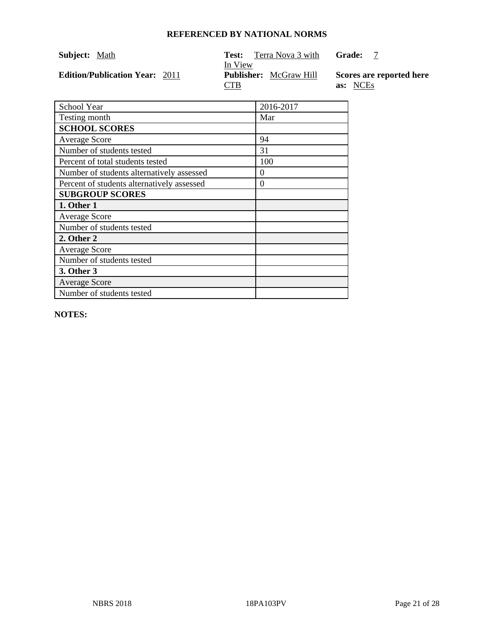| Subject: Math                         | Terra Nova 3 with<br>Test:               | Grade:                   |
|---------------------------------------|------------------------------------------|--------------------------|
| <b>Edition/Publication Year: 2011</b> | In View<br><b>Publisher:</b> McGraw Hill | Scores are reported here |
|                                       | CTB                                      | as: NCEs                 |

| <b>School Year</b>                         | 2016-2017 |
|--------------------------------------------|-----------|
| Testing month                              | Mar       |
| <b>SCHOOL SCORES</b>                       |           |
| <b>Average Score</b>                       | 94        |
| Number of students tested                  | 31        |
| Percent of total students tested           | 100       |
| Number of students alternatively assessed  | 0         |
| Percent of students alternatively assessed | 0         |
| <b>SUBGROUP SCORES</b>                     |           |
| 1. Other 1                                 |           |
| <b>Average Score</b>                       |           |
| Number of students tested                  |           |
| 2. Other 2                                 |           |
| <b>Average Score</b>                       |           |
| Number of students tested                  |           |
| 3. Other 3                                 |           |
| <b>Average Score</b>                       |           |
| Number of students tested                  |           |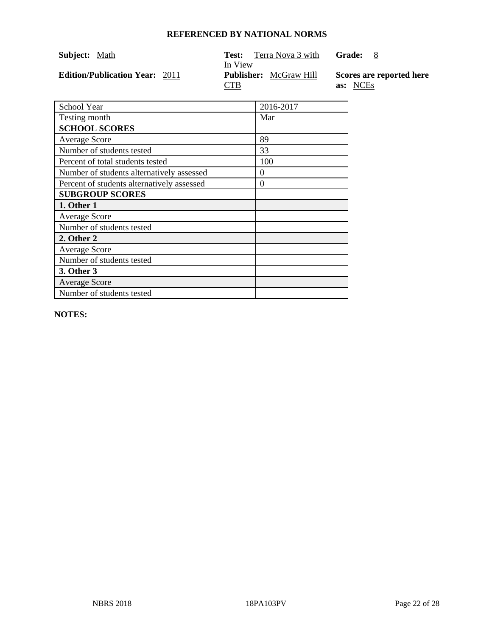| <b>Subject:</b> Math                  | Terra Nova 3 with<br>Test:    | Grade: 8                 |
|---------------------------------------|-------------------------------|--------------------------|
|                                       | In View                       |                          |
| <b>Edition/Publication Year: 2011</b> | <b>Publisher:</b> McGraw Hill | Scores are reported here |
|                                       |                               |                          |

| School Year                                | 2016-2017 |
|--------------------------------------------|-----------|
| Testing month                              | Mar       |
| <b>SCHOOL SCORES</b>                       |           |
| <b>Average Score</b>                       | 89        |
| Number of students tested                  | 33        |
| Percent of total students tested           | 100       |
| Number of students alternatively assessed  | 0         |
| Percent of students alternatively assessed | 0         |
| <b>SUBGROUP SCORES</b>                     |           |
| 1. Other 1                                 |           |
| <b>Average Score</b>                       |           |
| Number of students tested                  |           |
| 2. Other 2                                 |           |
| <b>Average Score</b>                       |           |
| Number of students tested                  |           |
| 3. Other 3                                 |           |
| <b>Average Score</b>                       |           |
| Number of students tested                  |           |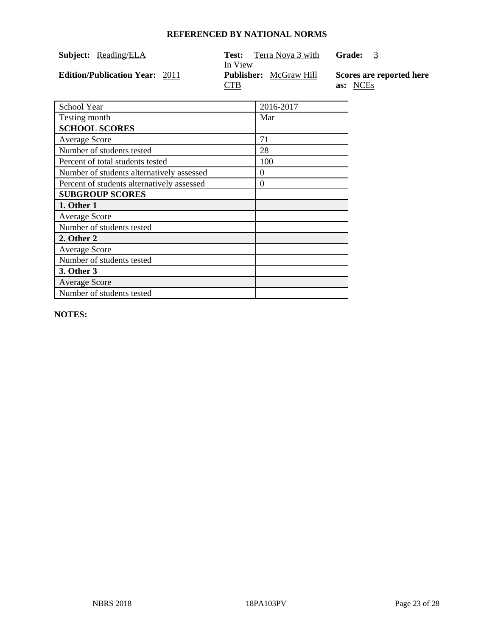| Subject: Reading/ELA                  | Terra Nova 3 with<br>Test:               | Grade: 3                 |
|---------------------------------------|------------------------------------------|--------------------------|
| <b>Edition/Publication Year: 2011</b> | In View<br><b>Publisher:</b> McGraw Hill | Scores are reported here |
|                                       | CTB                                      | as: NCEs                 |

| School Year                                | 2016-2017 |
|--------------------------------------------|-----------|
| Testing month                              | Mar       |
| <b>SCHOOL SCORES</b>                       |           |
| <b>Average Score</b>                       | 71        |
| Number of students tested                  | 28        |
| Percent of total students tested           | 100       |
| Number of students alternatively assessed  | 0         |
| Percent of students alternatively assessed | $\theta$  |
| <b>SUBGROUP SCORES</b>                     |           |
| 1. Other 1                                 |           |
| <b>Average Score</b>                       |           |
| Number of students tested                  |           |
| 2. Other 2                                 |           |
| <b>Average Score</b>                       |           |
| Number of students tested                  |           |
| 3. Other 3                                 |           |
| <b>Average Score</b>                       |           |
| Number of students tested                  |           |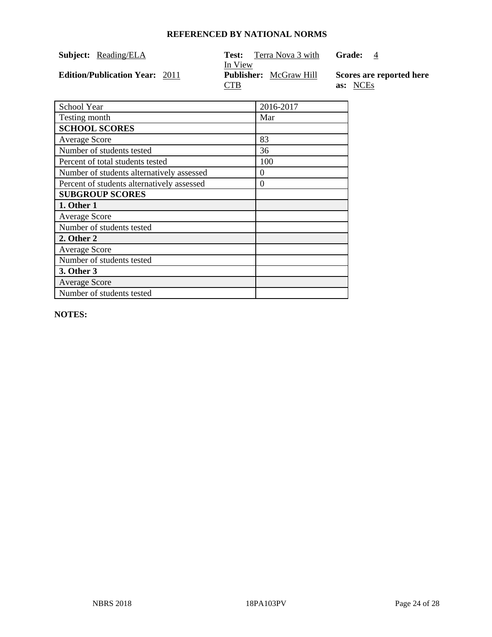| <b>Subject:</b> Reading/ELA           | Terra Nova 3 with<br>Test:<br>In View       | Grade:<br>$\overline{4}$             |
|---------------------------------------|---------------------------------------------|--------------------------------------|
| <b>Edition/Publication Year: 2011</b> | <b>Publisher:</b> McGraw Hill<br><b>CTB</b> | Scores are reported here<br>as: NCEs |

| School Year                                | 2016-2017 |
|--------------------------------------------|-----------|
| Testing month                              | Mar       |
| <b>SCHOOL SCORES</b>                       |           |
| <b>Average Score</b>                       | 83        |
| Number of students tested                  | 36        |
| Percent of total students tested           | 100       |
| Number of students alternatively assessed  | $\theta$  |
| Percent of students alternatively assessed | $\theta$  |
| <b>SUBGROUP SCORES</b>                     |           |
| 1. Other 1                                 |           |
| <b>Average Score</b>                       |           |
| Number of students tested                  |           |
| 2. Other 2                                 |           |
| <b>Average Score</b>                       |           |
| Number of students tested                  |           |
| 3. Other 3                                 |           |
| <b>Average Score</b>                       |           |
| Number of students tested                  |           |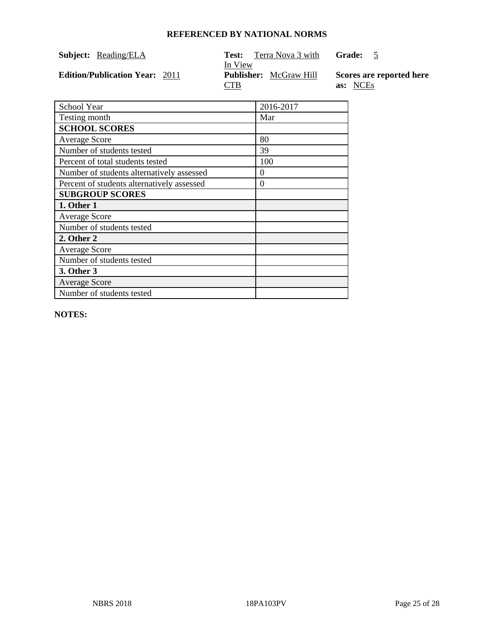| Subject: | Reading/ELA |
|----------|-------------|
|          |             |

Test: Terra Nova 3 with

**Grade:** 5

**Edition/Publication Year: 2011** 

In View<br>**Publisher:** McGraw Hill CTB

**Scores are reported here as:** NCEs

| <b>School Year</b>                         | 2016-2017 |
|--------------------------------------------|-----------|
| Testing month                              | Mar       |
| <b>SCHOOL SCORES</b>                       |           |
| <b>Average Score</b>                       | 80        |
| Number of students tested                  | 39        |
| Percent of total students tested           | 100       |
| Number of students alternatively assessed  | $\Omega$  |
| Percent of students alternatively assessed | $\theta$  |
| <b>SUBGROUP SCORES</b>                     |           |
| 1. Other 1                                 |           |
| <b>Average Score</b>                       |           |
| Number of students tested                  |           |
| 2. Other 2                                 |           |
| <b>Average Score</b>                       |           |
| Number of students tested                  |           |
| <b>3. Other 3</b>                          |           |
| <b>Average Score</b>                       |           |
| Number of students tested                  |           |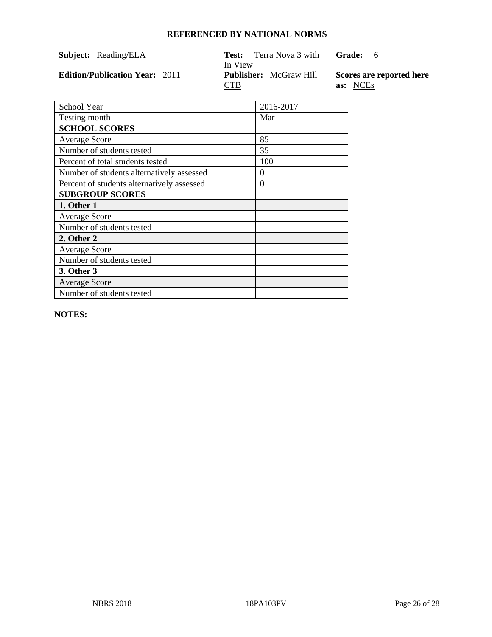| Subject: Reading/ELA                  | Test:                                                  | Terra Nova 3 with | Grade:<br>- 6                        |
|---------------------------------------|--------------------------------------------------------|-------------------|--------------------------------------|
| <b>Edition/Publication Year: 2011</b> | In View<br><b>Publisher:</b> McGraw Hill<br><b>CTB</b> |                   | Scores are reported here<br>as: NCEs |

| School Year                                | 2016-2017 |
|--------------------------------------------|-----------|
| Testing month                              | Mar       |
| <b>SCHOOL SCORES</b>                       |           |
| <b>Average Score</b>                       | 85        |
| Number of students tested                  | 35        |
| Percent of total students tested           | 100       |
| Number of students alternatively assessed  | $\theta$  |
| Percent of students alternatively assessed | 0         |
| <b>SUBGROUP SCORES</b>                     |           |
| 1. Other 1                                 |           |
| <b>Average Score</b>                       |           |
| Number of students tested                  |           |
| 2. Other 2                                 |           |
| <b>Average Score</b>                       |           |
| Number of students tested                  |           |
| 3. Other 3                                 |           |
| <b>Average Score</b>                       |           |
| Number of students tested                  |           |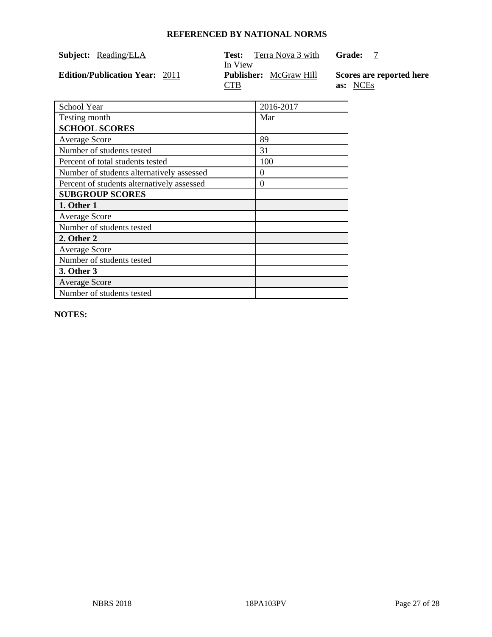| Subject: | Reading/ELA |
|----------|-------------|
|          |             |

Test: Terra Nova 3 with

**Grade:** 7

**Edition/Publication Year: 2011** 

In View<br>**Publisher:** McGraw Hill CTB

**Scores are reported here as:** NCEs

| School Year                                | 2016-2017 |
|--------------------------------------------|-----------|
| Testing month                              | Mar       |
| <b>SCHOOL SCORES</b>                       |           |
| <b>Average Score</b>                       | 89        |
| Number of students tested                  | 31        |
| Percent of total students tested           | 100       |
| Number of students alternatively assessed  | $\theta$  |
| Percent of students alternatively assessed | $\Omega$  |
| <b>SUBGROUP SCORES</b>                     |           |
| 1. Other 1                                 |           |
| <b>Average Score</b>                       |           |
| Number of students tested                  |           |
| 2. Other 2                                 |           |
| <b>Average Score</b>                       |           |
| Number of students tested                  |           |
| <b>3. Other 3</b>                          |           |
| <b>Average Score</b>                       |           |
| Number of students tested                  |           |